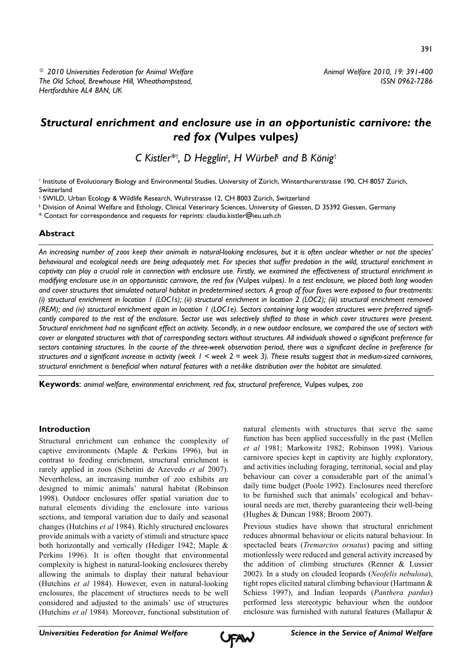391

# *Structural enrichment and enclosure use in an opportunistic carnivore: the red fox (***Vulpes vulpes***)*

*C Kistler\*† , D Hegglin‡ , H Würbel§ and B König†*

† Institute of Evolutionary Biology and Environmental Studies, University of Zürich, Winterthurerstrasse 190, CH 8057 Zürich, Switzerland

‡ SWILD, Urban Ecology & Wildlife Research, Wuhrstrasse 12, CH 8003 Zürich, Switzerland

§ Division of Animal Welfare and Ethology, Clinical Veterinary Sciences, University of Giessen, D 35392 Giessen, Germany

\* Contact for correspondence and requests for reprints: claudia.kistler@ieu.uzh.ch

# **Abstract**

*An increasing number of zoos keep their animals in natural-looking enclosures, but it is often unclear whether or not the species' behavioural and ecological needs are being adequately met. For species that suffer predation in the wild, structural enrichment in captivity can play a crucial role in connection with enclosure use. Firstly, we examined the effectiveness of structural enrichment in modifying enclosure use in an opportunistic carnivore, the red fox (*Vulpes vulpes*). In a test enclosure, we placed both long wooden and cover structures that simulated natural habitat in predetermined sectors. A group of four foxes were exposed to four treatments: (i) structural enrichment in location 1 (LOC1s); (ii) structural enrichment in location 2 (LOC2); (iii) structural enrichment removed (REM); and (iv) structural enrichment again in location 1 (LOC1e). Sectors containing long wooden structures were preferred significantly compared to the rest of the enclosure. Sector use was selectively shifted to those in which cover structures were present. Structural enrichment had no significant effect on activity. Secondly, in a new outdoor enclosure, we compared the use of sectors with cover or elongated structures with that of corresponding sectors without structures. All individuals showed a significant preference for sectors containing structures. In the course of the three-week observation period, there was a significant decline in preference for structures and a significant increase in activity (week 1 < week 2 = week 3). These results suggest that in medium-sized carnivores, structural enrichment is beneficial when natural features with a net-like distribution over the habitat are simulated.*

**Keywords**: *animal welfare, environmental enrichment, red fox, structural preference,* Vulpes vulpes*, zoo*

# **Introduction**

Structural enrichment can enhance the complexity of captive environments (Maple & Perkins 1996), but in contrast to feeding enrichment, structural enrichment is rarely applied in zoos (Schetini de Azevedo *et al* 2007). Nevertheless, an increasing number of zoo exhibits are designed to mimic animals' natural habitat (Robinson 1998). Outdoor enclosures offer spatial variation due to natural elements dividing the enclosure into various sections, and temporal variation due to daily and seasonal changes (Hutchins *et al* 1984). Richly structured enclosures provide animals with a variety of stimuli and structure space both horizontally and vertically (Hediger 1942; Maple & Perkins 1996). It is often thought that environmental complexity is highest in natural-looking enclosures thereby allowing the animals to display their natural behaviour (Hutchins *et al* 1984). However, even in natural-looking enclosures, the placement of structures needs to be well considered and adjusted to the animals' use of structures (Hutchins *et al* 1984). Moreover, functional substitution of

natural elements with structures that serve the same function has been applied successfully in the past (Mellen *et al* 1981; Markowitz 1982; Robinson 1998). Various carnivore species kept in captivity are highly exploratory, and activities including foraging, territorial, social and play behaviour can cover a considerable part of the animal's daily time budget (Poole 1992). Enclosures need therefore to be furnished such that animals' ecological and behavioural needs are met, thereby guaranteeing their well-being (Hughes & Duncan 1988; Broom 2007).

Previous studies have shown that structural enrichment reduces abnormal behaviour or elicits natural behaviour. In spectacled bears (*Tremarctos ornatus*) pacing and sitting motionlessly were reduced and general activity increased by the addition of climbing structures (Renner & Lussier 2002). In a study on clouded leopards (*Neofelis nebulosa*), tight ropes elicited natural climbing behaviour (Hartmann & Schiess 1997), and Indian leopards (*Panthera pardus*) performed less stereotypic behaviour when the outdoor enclosure was furnished with natural features (Mallapur &

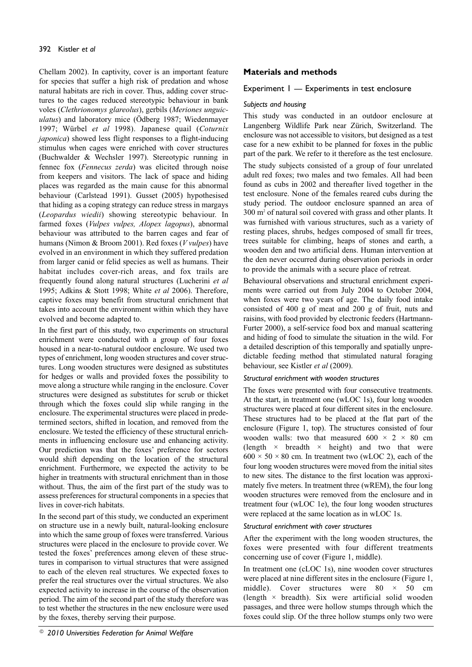Chellam 2002). In captivity, cover is an important feature for species that suffer a high risk of predation and whose natural habitats are rich in cover. Thus, adding cover structures to the cages reduced stereotypic behaviour in bank voles (*Clethrionomys glareolus*), gerbils (*Meriones unguiculatus*) and laboratory mice (Ödberg 1987; Wiedenmayer 1997; Würbel *et al* 1998). Japanese quail (*Coturnix japonica*) showed less flight responses to a flight-inducing stimulus when cages were enriched with cover structures (Buchwalder & Wechsler 1997). Stereotypic running in fennec fox (*Fennecus zerda*) was elicited through noise from keepers and visitors. The lack of space and hiding places was regarded as the main cause for this abnormal behaviour (Carlstead 1991). Gusset (2005) hypothesised that hiding as a coping strategy can reduce stress in margays (*Leopardus wiedii*) showing stereotypic behaviour. In farmed foxes (*Vulpes vulpes, Alopex lagopus*), abnormal behaviour was attributed to the barren cages and fear of humans (Nimon & Broom 2001). Red foxes (*V vulpes*) have evolved in an environment in which they suffered predation from larger canid or felid species as well as humans. Their habitat includes cover-rich areas, and fox trails are frequently found along natural structures (Lucherini *et al* 1995; Adkins & Stott 1998; White *et al* 2006). Therefore, captive foxes may benefit from structural enrichment that takes into account the environment within which they have evolved and become adapted to.

In the first part of this study, two experiments on structural enrichment were conducted with a group of four foxes housed in a near-to-natural outdoor enclosure. We used two types of enrichment, long wooden structures and cover structures. Long wooden structures were designed as substitutes for hedges or walls and provided foxes the possibility to move along a structure while ranging in the enclosure. Cover structures were designed as substitutes for scrub or thicket through which the foxes could slip while ranging in the enclosure. The experimental structures were placed in predetermined sectors, shifted in location, and removed from the enclosure. We tested the efficiency of these structural enrichments in influencing enclosure use and enhancing activity. Our prediction was that the foxes' preference for sectors would shift depending on the location of the structural enrichment. Furthermore, we expected the activity to be higher in treatments with structural enrichment than in those without. Thus, the aim of the first part of the study was to assess preferences for structural components in a species that lives in cover-rich habitats.

In the second part of this study, we conducted an experiment on structure use in a newly built, natural-looking enclosure into which the same group of foxes were transferred. Various structures were placed in the enclosure to provide cover. We tested the foxes' preferences among eleven of these structures in comparison to virtual structures that were assigned to each of the eleven real structures. We expected foxes to prefer the real structures over the virtual structures. We also expected activity to increase in the course of the observation period. The aim of the second part of the study therefore was to test whether the structures in the new enclosure were used by the foxes, thereby serving their purpose.

# **Materials and methods**

# Experiment 1 — Experiments in test enclosure

## *Subjects and housing*

This study was conducted in an outdoor enclosure at Langenberg Wildlife Park near Zürich, Switzerland. The enclosure was not accessible to visitors, but designed as a test case for a new exhibit to be planned for foxes in the public part of the park. We refer to it therefore as the test enclosure.

The study subjects consisted of a group of four unrelated adult red foxes; two males and two females. All had been found as cubs in 2002 and thereafter lived together in the test enclosure. None of the females reared cubs during the study period. The outdoor enclosure spanned an area of 300 m2 of natural soil covered with grass and other plants. It was furnished with various structures, such as a variety of resting places, shrubs, hedges composed of small fir trees, trees suitable for climbing, heaps of stones and earth, a wooden den and two artificial dens. Human intervention at the den never occurred during observation periods in order to provide the animals with a secure place of retreat.

Behavioural observations and structural enrichment experiments were carried out from July 2004 to October 2004, when foxes were two years of age. The daily food intake consisted of 400 g of meat and 200 g of fruit, nuts and raisins, with food provided by electronic feeders (Hartmann-Furter 2000), a self-service food box and manual scattering and hiding of food to simulate the situation in the wild. For a detailed description of this temporally and spatially unpredictable feeding method that stimulated natural foraging behaviour, see Kistler *et al* (2009).

### *Structural enrichment with wooden structures*

The foxes were presented with four consecutive treatments. At the start, in treatment one (wLOC 1s), four long wooden structures were placed at four different sites in the enclosure. These structures had to be placed at the flat part of the enclosure (Figure 1, top). The structures consisted of four wooden walls: two that measured  $600 \times 2 \times 80$  cm (length  $\times$  breadth  $\times$  height) and two that were  $600 \times 50 \times 80$  cm. In treatment two (wLOC 2), each of the four long wooden structures were moved from the initial sites to new sites. The distance to the first location was approximately five meters. In treatment three (wREM), the four long wooden structures were removed from the enclosure and in treatment four (wLOC 1e), the four long wooden structures were replaced at the same location as in wLOC 1s.

#### *Structural enrichment with cover structures*

After the experiment with the long wooden structures, the foxes were presented with four different treatments concerning use of cover (Figure 1, middle).

In treatment one (cLOC 1s), nine wooden cover structures were placed at nine different sites in the enclosure (Figure 1, middle). Cover structures were  $80 \times 50$  cm (length  $\times$  breadth). Six were artificial solid wooden passages, and three were hollow stumps through which the foxes could slip. Of the three hollow stumps only two were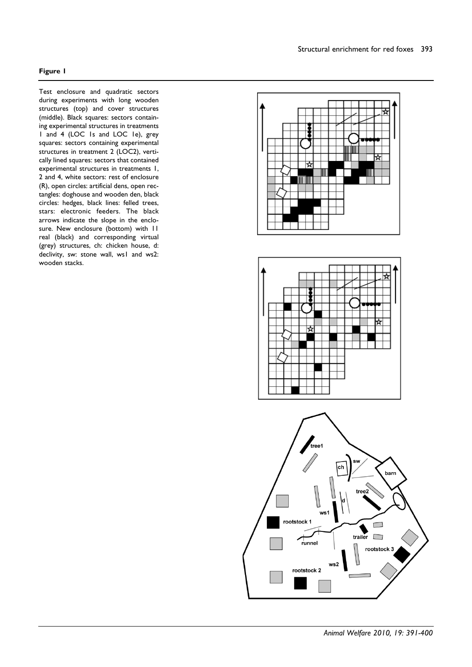# **Figure 1**

Test enclosure and quadratic sectors during experiments with long wooden structures (top) and cover structures (middle). Black squares: sectors containing experimental structures in treatments 1 and 4 (LOC 1s and LOC 1e), grey squares: sectors containing experimental structures in treatment 2 (LOC2), vertically lined squares: sectors that contained experimental structures in treatments 1, 2 and 4, white sectors: rest of enclosure (R), open circles: artificial dens, open rectangles: doghouse and wooden den, black circles: hedges, black lines: felled trees, stars: electronic feeders. The black arrows indicate the slope in the enclosure. New enclosure (bottom) with 11 real (black) and corresponding virtual (grey) structures, ch: chicken house, d: declivity, sw: stone wall, ws1 and ws2: wooden stacks.

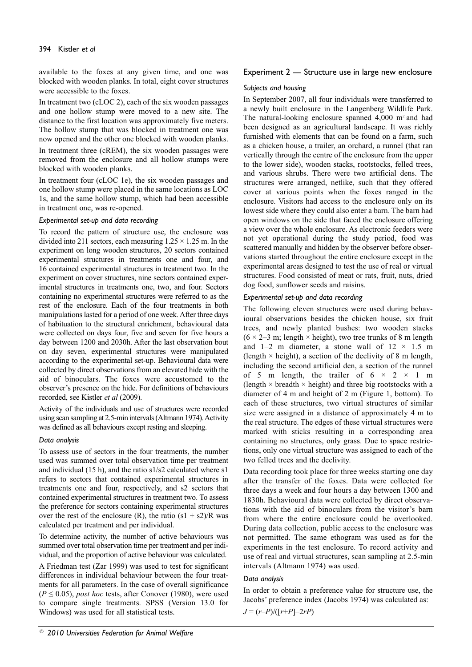available to the foxes at any given time, and one was blocked with wooden planks. In total, eight cover structures were accessible to the foxes.

In treatment two (cLOC 2), each of the six wooden passages and one hollow stump were moved to a new site. The distance to the first location was approximately five meters. The hollow stump that was blocked in treatment one was now opened and the other one blocked with wooden planks.

In treatment three (cREM), the six wooden passages were removed from the enclosure and all hollow stumps were blocked with wooden planks.

In treatment four (cLOC 1e), the six wooden passages and one hollow stump were placed in the same locations as LOC 1s, and the same hollow stump, which had been accessible in treatment one, was re-opened.

### *Experimental set-up and data recording*

To record the pattern of structure use, the enclosure was divided into 211 sectors, each measuring  $1.25 \times 1.25$  m. In the experiment on long wooden structures, 20 sectors contained experimental structures in treatments one and four, and 16 contained experimental structures in treatment two. In the experiment on cover structures, nine sectors contained experimental structures in treatments one, two, and four. Sectors containing no experimental structures were referred to as the rest of the enclosure. Each of the four treatments in both manipulations lasted for a period of one week. After three days of habituation to the structural enrichment, behavioural data were collected on days four, five and seven for five hours a day between 1200 and 2030h. After the last observation bout on day seven, experimental structures were manipulated according to the experimental set-up. Behavioural data were collected by direct observations from an elevated hide with the aid of binoculars. The foxes were accustomed to the observer's presence on the hide. For definitions of behaviours recorded, see Kistler *et al* (2009).

Activity of the individuals and use of structures were recorded using scan sampling at 2.5-min intervals (Altmann 1974). Activity was defined as all behaviours except resting and sleeping.

# *Data analysis*

To assess use of sectors in the four treatments, the number used was summed over total observation time per treatment and individual (15 h), and the ratio s1/s2 calculated where s1 refers to sectors that contained experimental structures in treatments one and four, respectively, and s2 sectors that contained experimental structures in treatment two. To assess the preference for sectors containing experimental structures over the rest of the enclosure (R), the ratio  $(s1 + s2)/R$  was calculated per treatment and per individual.

To determine activity, the number of active behaviours was summed over total observation time per treatment and per individual, and the proportion of active behaviour was calculated.

A Friedman test (Zar 1999) was used to test for significant differences in individual behaviour between the four treatments for all parameters. In the case of overall significance  $(P \le 0.05)$ , *post hoc* tests, after Conover (1980), were used to compare single treatments. SPSS (Version 13.0 for Windows) was used for all statistical tests.

# Experiment 2 — Structure use in large new enclosure

### *Subjects and housing*

In September 2007, all four individuals were transferred to a newly built enclosure in the Langenberg Wildlife Park. The natural-looking enclosure spanned  $4,000$  m<sup>2</sup> and had been designed as an agricultural landscape. It was richly furnished with elements that can be found on a farm, such as a chicken house, a trailer, an orchard, a runnel (that ran vertically through the centre of the enclosure from the upper to the lower side), wooden stacks, rootstocks, felled trees, and various shrubs. There were two artificial dens. The structures were arranged, netlike, such that they offered cover at various points when the foxes ranged in the enclosure. Visitors had access to the enclosure only on its lowest side where they could also enter a barn. The barn had open windows on the side that faced the enclosure offering a view over the whole enclosure. As electronic feeders were not yet operational during the study period, food was scattered manually and hidden by the observer before observations started throughout the entire enclosure except in the experimental areas designed to test the use of real or virtual structures. Food consisted of meat or rats, fruit, nuts, dried dog food, sunflower seeds and raisins.

# *Experimental set-up and data recording*

The following eleven structures were used during behavioural observations besides the chicken house, six fruit trees, and newly planted bushes: two wooden stacks  $(6 \times 2-3$  m; length  $\times$  height), two tree trunks of 8 m length and 1–2 m diameter, a stone wall of  $12 \times 1.5$  m (length  $\times$  height), a section of the declivity of 8 m length, including the second artificial den, a section of the runnel of 5 m length, the trailer of  $6 \times 2 \times 1$  m (length  $\times$  breadth  $\times$  height) and three big rootstocks with a diameter of 4 m and height of 2 m (Figure 1, bottom). To each of these structures, two virtual structures of similar size were assigned in a distance of approximately 4 m to the real structure. The edges of these virtual structures were marked with sticks resulting in a corresponding area containing no structures, only grass. Due to space restrictions, only one virtual structure was assigned to each of the two felled trees and the declivity.

Data recording took place for three weeks starting one day after the transfer of the foxes. Data were collected for three days a week and four hours a day between 1300 and 1830h. Behavioural data were collected by direct observations with the aid of binoculars from the visitor's barn from where the entire enclosure could be overlooked. During data collection, public access to the enclosure was not permitted. The same ethogram was used as for the experiments in the test enclosure. To record activity and use of real and virtual structures, scan sampling at 2.5-min intervals (Altmann 1974) was used.

# *Data analysis*

In order to obtain a preference value for structure use, the Jacobs' preference index (Jacobs 1974) was calculated as: *J* = (*r*–*P*)/([*r*+*P*]–2*rP*)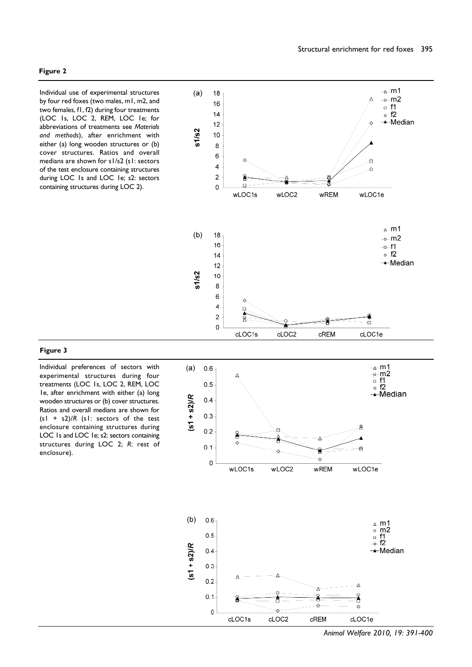Individual use of experimental structures by four red foxes (two males, m1, m2, and two females, f1, f2) during four treatments (LOC 1s, LOC 2, REM, LOC 1e; for abbreviations of treatments see *Materials and methods*), after enrichment with either (a) long wooden structures or (b) cover structures. Ratios and overall medians are shown for s1/s2 (s1: sectors of the test enclosure containing structures during LOC 1s and LOC 1e; s2: sectors containing structures during LOC 2).



#### **Figure 3**

Individual preferences of sectors with experimental structures during four treatments (LOC 1s, LOC 2, REM, LOC 1e, after enrichment with either (a) long wooden structures or (b) cover structures. Ratios and overall medians are shown for (s1 + s2)/*R* (s1: sectors of the test enclosure containing structures during LOC 1s and LOC 1e; s2: sectors containing structures during LOC 2; *R*: rest of enclosure).

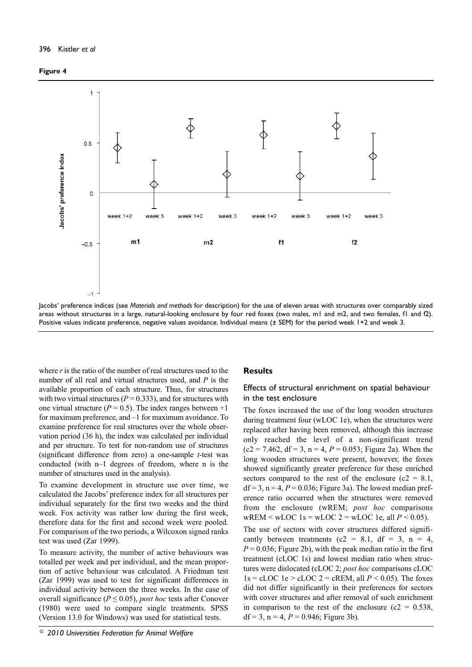### **Figure 4**



Jacobs' preference indices (see *Materials and methods* for description) for the use of eleven areas with structures over comparably sized areas without structures in a large, natural-looking enclosure by four red foxes (two males, m1 and m2, and two females, f1 and f2). Positive values indicate preference, negative values avoidance. Individual means (± SEM) for the period week 1+2 and week 3.

where  $r$  is the ratio of the number of real structures used to the number of all real and virtual structures used, and *P* is the available proportion of each structure. Thus, for structures with two virtual structures ( $P = 0.333$ ), and for structures with one virtual structure ( $P = 0.5$ ). The index ranges between  $+1$ for maximum preference, and –1 for maximum avoidance. To examine preference for real structures over the whole observation period (36 h), the index was calculated per individual and per structure. To test for non-random use of structures (significant difference from zero) a one-sample *t*-test was conducted (with n–1 degrees of freedom, where n is the number of structures used in the analysis).

To examine development in structure use over time, we calculated the Jacobs' preference index for all structures per individual separately for the first two weeks and the third week. Fox activity was rather low during the first week, therefore data for the first and second week were pooled. For comparison of the two periods, a Wilcoxon signed ranks test was used (Zar 1999).

To measure activity, the number of active behaviours was totalled per week and per individual, and the mean proportion of active behaviour was calculated. A Friedman test (Zar 1999) was used to test for significant differences in individual activity between the three weeks. In the case of overall significance ( $P \leq 0.05$ ), *post hoc* tests after Conover (1980) were used to compare single treatments. SPSS (Version 13.0 for Windows) was used for statistical tests.

# **Results**

# Effects of structural enrichment on spatial behaviour in the test enclosure

The foxes increased the use of the long wooden structures during treatment four (wLOC 1e), when the structures were replaced after having been removed, although this increase only reached the level of a non-significant trend  $(c2 = 7.462, df = 3, n = 4, P = 0.053; Figure 2a)$ . When the long wooden structures were present, however, the foxes showed significantly greater preference for these enriched sectors compared to the rest of the enclosure ( $c2 = 8.1$ ,  $df = 3$ ,  $n = 4$ ,  $P = 0.036$ ; Figure 3a). The lowest median preference ratio occurred when the structures were removed from the enclosure (wREM; *post hoc* comparisons  $wREM \leq wLOC \leq wLOC \leq 2 = wLOC \leq uLOC \leq 10P \leq 0.05$ .

The use of sectors with cover structures differed significantly between treatments (c2 = 8.1, df = 3, n = 4,  $P = 0.036$ ; Figure 2b), with the peak median ratio in the first treatment (cLOC 1s) and lowest median ratio when structures were dislocated (cLOC 2; *post hoc* comparisons cLOC  $1s = cLOC$   $1e > cLOC$   $2 = cREM$ , all  $P < 0.05$ ). The foxes did not differ significantly in their preferences for sectors with cover structures and after removal of such enrichment in comparison to the rest of the enclosure ( $c2 = 0.538$ , df = 3, n = 4,  $P = 0.946$ ; Figure 3b).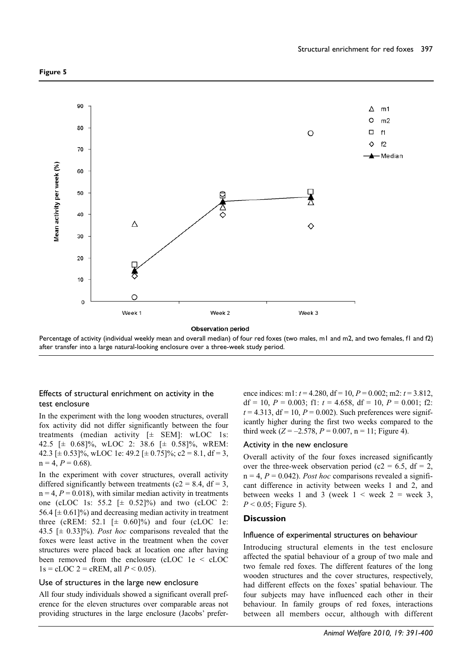

**Observation period** 

Percentage of activity (individual weekly mean and overall median) of four red foxes (two males, m1 and m2, and two females, f1 and f2) after transfer into a large natural-looking enclosure over a three-week study period.

### Effects of structural enrichment on activity in the test enclosure

In the experiment with the long wooden structures, overall fox activity did not differ significantly between the four treatments (median activity [± SEM]: wLOC 1s: 42.5 [± 0.68]%, wLOC 2: 38.6 [± 0.58]%, wREM: 42.3 [ $\pm$  0.53]%, wLOC 1e: 49.2 [ $\pm$  0.75]%; c2 = 8.1, df = 3,  $n = 4, P = 0.68$ .

In the experiment with cover structures, overall activity differed significantly between treatments ( $c2 = 8.4$ , df = 3,  $n = 4, P = 0.018$ , with similar median activity in treatments one (cLOC 1s: 55.2  $[\pm 0.52]$ %) and two (cLOC 2: 56.4  $[\pm 0.61]$ %) and decreasing median activity in treatment three (cREM:  $52.1$   $[\pm 0.60]$ %) and four (cLOC 1e: 43.5 [± 0.33]%). *Post hoc* comparisons revealed that the foxes were least active in the treatment when the cover structures were placed back at location one after having been removed from the enclosure (cLOC 1e < cLOC  $1s = cLOC 2 = cREM, all P < 0.05$ .

#### Use of structures in the large new enclosure

All four study individuals showed a significant overall preference for the eleven structures over comparable areas not providing structures in the large enclosure (Jacobs' preference indices: m1: *t* = 4.280, df = 10, *P* = 0.002; m2: *t* = 3.812, df = 10,  $P = 0.003$ ; f1:  $t = 4.658$ , df = 10,  $P = 0.001$ ; f2:  $t = 4.313$ ,  $df = 10$ ,  $P = 0.002$ ). Such preferences were significantly higher during the first two weeks compared to the third week  $(Z = -2.578, P = 0.007, n = 11$ ; Figure 4).

#### Activity in the new enclosure

Overall activity of the four foxes increased significantly over the three-week observation period (c2 = 6.5,  $df = 2$ ,  $n = 4$ ,  $P = 0.042$ ). *Post hoc* comparisons revealed a significant difference in activity between weeks 1 and 2, and between weeks 1 and 3 (week  $1 <$  week  $2 =$  week 3,  $P < 0.05$ ; Figure 5).

#### **Discussion**

#### Influence of experimental structures on behaviour

Introducing structural elements in the test enclosure affected the spatial behaviour of a group of two male and two female red foxes. The different features of the long wooden structures and the cover structures, respectively, had different effects on the foxes' spatial behaviour. The four subjects may have influenced each other in their behaviour. In family groups of red foxes, interactions between all members occur, although with different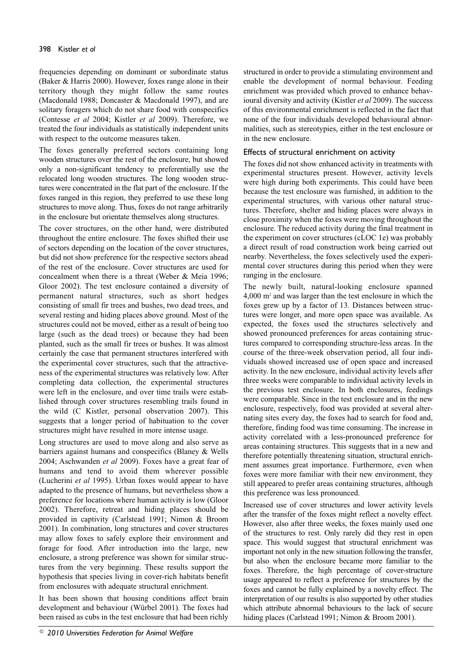frequencies depending on dominant or subordinate status (Baker & Harris 2000). However, foxes range alone in their territory though they might follow the same routes (Macdonald 1988; Doncaster & Macdonald 1997), and are solitary foragers which do not share food with conspecifics (Contesse *et al* 2004; Kistler *et al* 2009). Therefore, we treated the four individuals as statistically independent units with respect to the outcome measures taken.

The foxes generally preferred sectors containing long wooden structures over the rest of the enclosure, but showed only a non-significant tendency to preferentially use the relocated long wooden structures. The long wooden structures were concentrated in the flat part of the enclosure. If the foxes ranged in this region, they preferred to use these long structures to move along. Thus, foxes do not range arbitrarily in the enclosure but orientate themselves along structures.

The cover structures, on the other hand, were distributed throughout the entire enclosure. The foxes shifted their use of sectors depending on the location of the cover structures, but did not show preference for the respective sectors ahead of the rest of the enclosure. Cover structures are used for concealment when there is a threat (Weber & Meia 1996; Gloor 2002). The test enclosure contained a diversity of permanent natural structures, such as short hedges consisting of small fir trees and bushes, two dead trees, and several resting and hiding places above ground. Most of the structures could not be moved, either as a result of being too large (such as the dead trees) or because they had been planted, such as the small fir trees or bushes. It was almost certainly the case that permanent structures interfered with the experimental cover structures, such that the attractiveness of the experimental structures was relatively low. After completing data collection, the experimental structures were left in the enclosure, and over time trails were established through cover structures resembling trails found in the wild (C Kistler, personal observation 2007). This suggests that a longer period of habituation to the cover structures might have resulted in more intense usage.

Long structures are used to move along and also serve as barriers against humans and conspecifics (Blaney & Wells 2004; Aschwanden *et al* 2009). Foxes have a great fear of humans and tend to avoid them wherever possible (Lucherini *et al* 1995). Urban foxes would appear to have adapted to the presence of humans, but nevertheless show a preference for locations where human activity is low (Gloor 2002). Therefore, retreat and hiding places should be provided in captivity (Carlstead 1991; Nimon & Broom 2001). In combination, long structures and cover structures may allow foxes to safely explore their environment and forage for food. After introduction into the large, new enclosure, a strong preference was shown for similar structures from the very beginning. These results support the hypothesis that species living in cover-rich habitats benefit from enclosures with adequate structural enrichment.

It has been shown that housing conditions affect brain development and behaviour (Würbel 2001). The foxes had been raised as cubs in the test enclosure that had been richly

structured in order to provide a stimulating environment and enable the development of normal behaviour. Feeding enrichment was provided which proved to enhance behavioural diversity and activity (Kistler *et al* 2009). The success of this environmental enrichment is reflected in the fact that none of the four individuals developed behavioural abnormalities, such as stereotypies, either in the test enclosure or in the new enclosure.

# Effects of structural enrichment on activity

The foxes did not show enhanced activity in treatments with experimental structures present. However, activity levels were high during both experiments. This could have been because the test enclosure was furnished, in addition to the experimental structures, with various other natural structures. Therefore, shelter and hiding places were always in close proximity when the foxes were moving throughout the enclosure. The reduced activity during the final treatment in the experiment on cover structures (cLOC 1e) was probably a direct result of road construction work being carried out nearby. Nevertheless, the foxes selectively used the experimental cover structures during this period when they were ranging in the enclosure.

The newly built, natural-looking enclosure spanned 4,000 m2 and was larger than the test enclosure in which the foxes grew up by a factor of 13. Distances between structures were longer, and more open space was available. As expected, the foxes used the structures selectively and showed pronounced preferences for areas containing structures compared to corresponding structure-less areas. In the course of the three-week observation period, all four individuals showed increased use of open space and increased activity. In the new enclosure, individual activity levels after three weeks were comparable to individual activity levels in the previous test enclosure. In both enclosures, feedings were comparable. Since in the test enclosure and in the new enclosure, respectively, food was provided at several alternating sites every day, the foxes had to search for food and, therefore, finding food was time consuming. The increase in activity correlated with a less-pronounced preference for areas containing structures. This suggests that in a new and therefore potentially threatening situation, structural enrichment assumes great importance. Furthermore, even when foxes were more familiar with their new environment, they still appeared to prefer areas containing structures, although this preference was less pronounced.

Increased use of cover structures and lower activity levels after the transfer of the foxes might reflect a novelty effect. However, also after three weeks, the foxes mainly used one of the structures to rest. Only rarely did they rest in open space. This would suggest that structural enrichment was important not only in the new situation following the transfer, but also when the enclosure became more familiar to the foxes. Therefore, the high percentage of cover-structure usage appeared to reflect a preference for structures by the foxes and cannot be fully explained by a novelty effect. The interpretation of our results is also supported by other studies which attribute abnormal behaviours to the lack of secure hiding places (Carlstead 1991; Nimon & Broom 2001).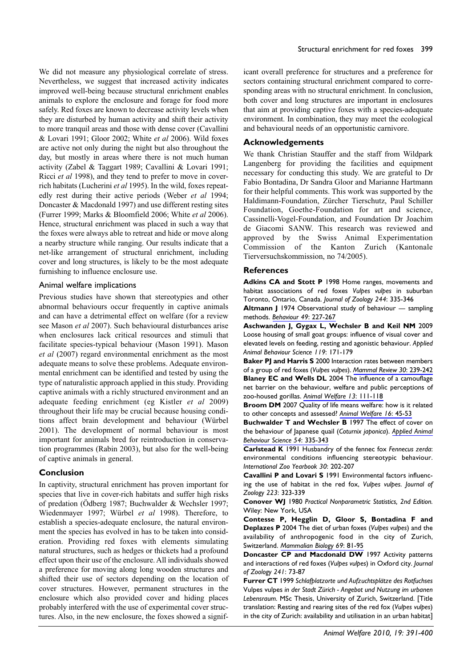We did not measure any physiological correlate of stress. Nevertheless, we suggest that increased activity indicates improved well-being because structural enrichment enables animals to explore the enclosure and forage for food more safely. Red foxes are known to decrease activity levels when they are disturbed by human activity and shift their activity to more tranquil areas and those with dense cover (Cavallini & Lovari 1991; Gloor 2002; White *et al* 2006). Wild foxes are active not only during the night but also throughout the day, but mostly in areas where there is not much human activity (Zabel & Taggart 1989; Cavallini & Lovari 1991; Ricci *et al* 1998), and they tend to prefer to move in coverrich habitats (Lucherini *et al* 1995). In the wild, foxes repeatedly rest during their active periods (Weber *et al* 1994; Doncaster & Macdonald 1997) and use different resting sites (Furrer 1999; Marks & Bloomfield 2006; White *et al* 2006). Hence, structural enrichment was placed in such a way that the foxes were always able to retreat and hide or move along a nearby structure while ranging. Our results indicate that a net-like arrangement of structural enrichment, including cover and long structures, is likely to be the most adequate furnishing to influence enclosure use.

### Animal welfare implications

Previous studies have shown that stereotypies and other abnormal behaviours occur frequently in captive animals and can have a detrimental effect on welfare (for a review see Mason *et al* 2007). Such behavioural disturbances arise when enclosures lack critical resources and stimuli that facilitate species-typical behaviour (Mason 1991). Mason *et al* (2007) regard environmental enrichment as the most adequate means to solve these problems. Adequate environmental enrichment can be identified and tested by using the type of naturalistic approach applied in this study. Providing captive animals with a richly structured environment and an adequate feeding enrichment (eg Kistler *et al* 2009) throughout their life may be crucial because housing conditions affect brain development and behaviour (Würbel 2001). The development of normal behaviour is most important for animals bred for reintroduction in conservation programmes (Rabin 2003), but also for the well-being of captive animals in general.

### **Conclusion**

In captivity, structural enrichment has proven important for species that live in cover-rich habitats and suffer high risks of predation (Ödberg 1987; Buchwalder & Wechsler 1997; Wiedenmayer 1997; Würbel *et al* 1998). Therefore, to establish a species-adequate enclosure, the natural environment the species has evolved in has to be taken into consideration. Providing red foxes with elements simulating natural structures, such as hedges or thickets had a profound effect upon their use of the enclosure. All individuals showed a preference for moving along long wooden structures and shifted their use of sectors depending on the location of cover structures. However, permanent structures in the enclosure which also provided cover and hiding places probably interfered with the use of experimental cover structures. Also, in the new enclosure, the foxes showed a significant overall preference for structures and a preference for sectors containing structural enrichment compared to corresponding areas with no structural enrichment. In conclusion, both cover and long structures are important in enclosures that aim at providing captive foxes with a species-adequate environment. In combination, they may meet the ecological and behavioural needs of an opportunistic carnivore.

# **Acknowledgements**

We thank Christian Stauffer and the staff from Wildpark Langenberg for providing the facilities and equipment necessary for conducting this study. We are grateful to Dr Fabio Bontadina, Dr Sandra Gloor and Marianne Hartmann for their helpful comments. This work was supported by the Haldimann-Foundation, Zürcher Tierschutz, Paul Schiller Foundation, Goethe-Foundation for art and science, Cassinelli-Vogel-Foundation, and Foundation Dr Joachim de Giacomi SANW. This research was reviewed and approved by the Swiss Animal Experimentation Commission of the Kanton Zurich (Kantonale Tierversuchskommission, no 74/2005).

### **References**

**Adkins CA and Stott P** 1998 Home ranges, movements and habitat associations of red foxes *Vulpes vulpes* in suburban Toronto, Ontario, Canada. *Journal of Zoology 244*: 335-346

**Altmann J** 1974 Observational study of behaviour — sampling methods. *[Behaviour 49](http://www.ingentaconnect.com/content/external-references?article=0005-7959()49L.227%5Baid=28579%5D)*: 227-267

**Aschwanden J, Gygax L, Wechsler B and Keil NM** 2009 Loose housing of small goat groups: influence of visual cover and elevated levels on feeding, resting and agonistic behaviour. *Applied Animal Behaviour Science 119*: 171-179

**Baker PJ and Harris S** 2000 Interaction rates between members of a group of red foxes (*Vulpes vulpes*). *[Mammal Review 30](http://www.ingentaconnect.com/content/external-references?article=0305-1838()30L.239%5Baid=9337914%5D)*: 239-242 **Blaney EC and Wells DL** 2004 The influence of a camouflage net barrier on the behaviour, welfare and public perceptions of zoo-housed gorillas. *[Animal Welfare 13](http://www.ingentaconnect.com/content/external-references?article=0962-7286()13L.111%5Baid=9337913%5D)*: 111-118

**Broom DM** 2007 Quality of life means welfare: how is it related to other concepts and assessed? *[Animal Welfare 16](http://www.ingentaconnect.com/content/external-references?article=0962-7286()16L.45%5Baid=9337912%5D)*: 45-53

**Buchwalder T and Wechsler B** 1997 The effect of cover on the behaviour of Japanese quail (*Coturnix japonica*). *[Applied Animal](http://www.ingentaconnect.com/content/external-references?article=0168-1591()54L.335%5Baid=1471942%5D) [Behaviour Science 54](http://www.ingentaconnect.com/content/external-references?article=0168-1591()54L.335%5Baid=1471942%5D)*: 335-343

**Carlstead K** 1991 Husbandry of the fennec fox *Fennecus zerda*: environmental conditions influencing stereotypic behaviour. *International Zoo Yearbook 30*: 202-207

**Cavallini P and Lovari S** 1991 Environmental factors influencing the use of habitat in the red fox, *Vulpes vulpes*. *Journal of Zoology 223*: 323-339

**Conover WJ** 1980 *Practical Nonparametric Statistics, 2nd Edition.* Wiley: New York, USA

**Contesse P, Hegglin D, Gloor S, Bontadina F and Deplazes P** 2004 The diet of urban foxes (*Vulpes vulpes*) and the availability of anthropogenic food in the city of Zurich, Switzerland. *[Mammalian Biology 69](http://www.ingentaconnect.com/content/external-references?article=1616-5047()69L.81%5Baid=9337910%5D)*: 81-95

**Doncaster CP and Macdonald DW** 1997 Activity patterns and interactions of red foxes (*Vulpes vulpes*) in Oxford city. *Journal of Zoology 241*: 73-87

**Furrer CT** 1999 *Schlafplatzorte und Aufzuchtsplätze des Rotfuchses* Vulpes vulpes *in der Stadt Zürich - Angebot und Nutzung im urbanen Lebensraum.* MSc Thesis, University of Zurich, Switzerland. [Title translation: Resting and rearing sites of the red fox (*Vulpes vulpes*) in the city of Zurich: availability and utilisation in an urban habitat]